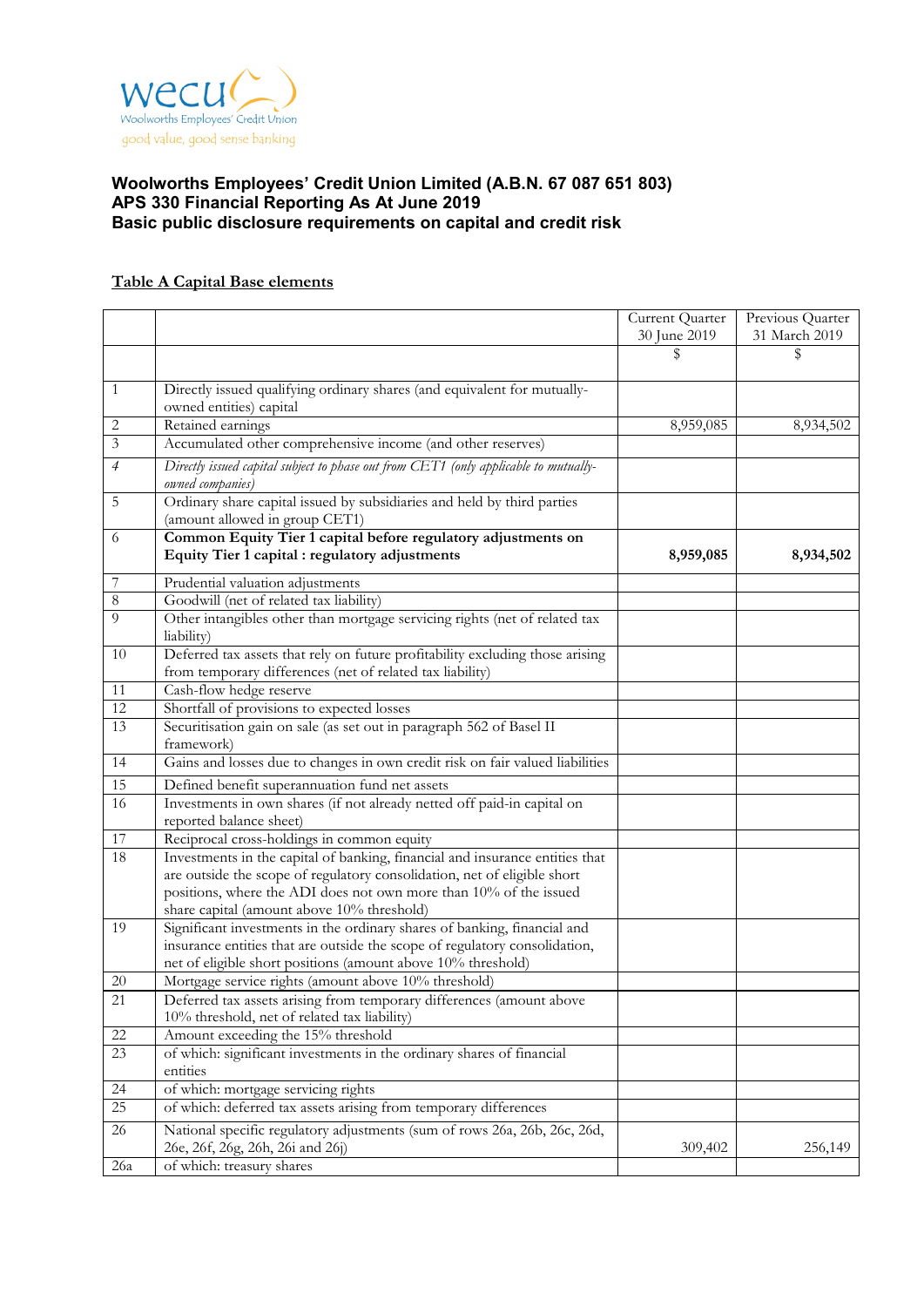

# **Table A Capital Base elements**

|                |                                                                                                                                                                                                                                                                             | Current Quarter | Previous Quarter |
|----------------|-----------------------------------------------------------------------------------------------------------------------------------------------------------------------------------------------------------------------------------------------------------------------------|-----------------|------------------|
|                |                                                                                                                                                                                                                                                                             | 30 June 2019    | 31 March 2019    |
|                |                                                                                                                                                                                                                                                                             | \$              | \$               |
| $\mathbf{1}$   | Directly issued qualifying ordinary shares (and equivalent for mutually-<br>owned entities) capital                                                                                                                                                                         |                 |                  |
| 2              | Retained earnings                                                                                                                                                                                                                                                           | 8,959,085       | 8,934,502        |
| $\mathfrak{Z}$ | Accumulated other comprehensive income (and other reserves)                                                                                                                                                                                                                 |                 |                  |
| $\overline{4}$ | Directly issued capital subject to phase out from CET1 (only applicable to mutually-<br>owned companies)                                                                                                                                                                    |                 |                  |
| 5              | Ordinary share capital issued by subsidiaries and held by third parties<br>(amount allowed in group CET1)                                                                                                                                                                   |                 |                  |
| 6              | Common Equity Tier 1 capital before regulatory adjustments on<br>Equity Tier 1 capital : regulatory adjustments                                                                                                                                                             | 8,959,085       | 8,934,502        |
| 7              | Prudential valuation adjustments                                                                                                                                                                                                                                            |                 |                  |
| $\sqrt{8}$     | Goodwill (net of related tax liability)                                                                                                                                                                                                                                     |                 |                  |
| $\overline{9}$ | Other intangibles other than mortgage servicing rights (net of related tax<br>liability)                                                                                                                                                                                    |                 |                  |
| 10             | Deferred tax assets that rely on future profitability excluding those arising<br>from temporary differences (net of related tax liability)                                                                                                                                  |                 |                  |
| 11             | Cash-flow hedge reserve                                                                                                                                                                                                                                                     |                 |                  |
| 12             | Shortfall of provisions to expected losses                                                                                                                                                                                                                                  |                 |                  |
| 13             | Securitisation gain on sale (as set out in paragraph 562 of Basel II<br>framework)                                                                                                                                                                                          |                 |                  |
| 14             | Gains and losses due to changes in own credit risk on fair valued liabilities                                                                                                                                                                                               |                 |                  |
| 15             | Defined benefit superannuation fund net assets                                                                                                                                                                                                                              |                 |                  |
| 16             | Investments in own shares (if not already netted off paid-in capital on<br>reported balance sheet)                                                                                                                                                                          |                 |                  |
| 17             | Reciprocal cross-holdings in common equity                                                                                                                                                                                                                                  |                 |                  |
| 18             | Investments in the capital of banking, financial and insurance entities that<br>are outside the scope of regulatory consolidation, net of eligible short<br>positions, where the ADI does not own more than 10% of the issued<br>share capital (amount above 10% threshold) |                 |                  |
| 19             | Significant investments in the ordinary shares of banking, financial and<br>insurance entities that are outside the scope of regulatory consolidation,<br>net of eligible short positions (amount above 10% threshold)                                                      |                 |                  |
| $20\,$         | Mortgage service rights (amount above 10% threshold)                                                                                                                                                                                                                        |                 |                  |
| 21             | Deferred tax assets arising from temporary differences (amount above<br>10% threshold, net of related tax liability)                                                                                                                                                        |                 |                  |
| 22             | Amount exceeding the 15% threshold                                                                                                                                                                                                                                          |                 |                  |
| 23             | of which: significant investments in the ordinary shares of financial<br>entities                                                                                                                                                                                           |                 |                  |
| 24             | of which: mortgage servicing rights                                                                                                                                                                                                                                         |                 |                  |
| 25             | of which: deferred tax assets arising from temporary differences                                                                                                                                                                                                            |                 |                  |
| 26             | National specific regulatory adjustments (sum of rows 26a, 26b, 26c, 26d,<br>26e, 26f, 26g, 26h, 26i and 26j)                                                                                                                                                               | 309,402         | 256,149          |
| 26a            | of which: treasury shares                                                                                                                                                                                                                                                   |                 |                  |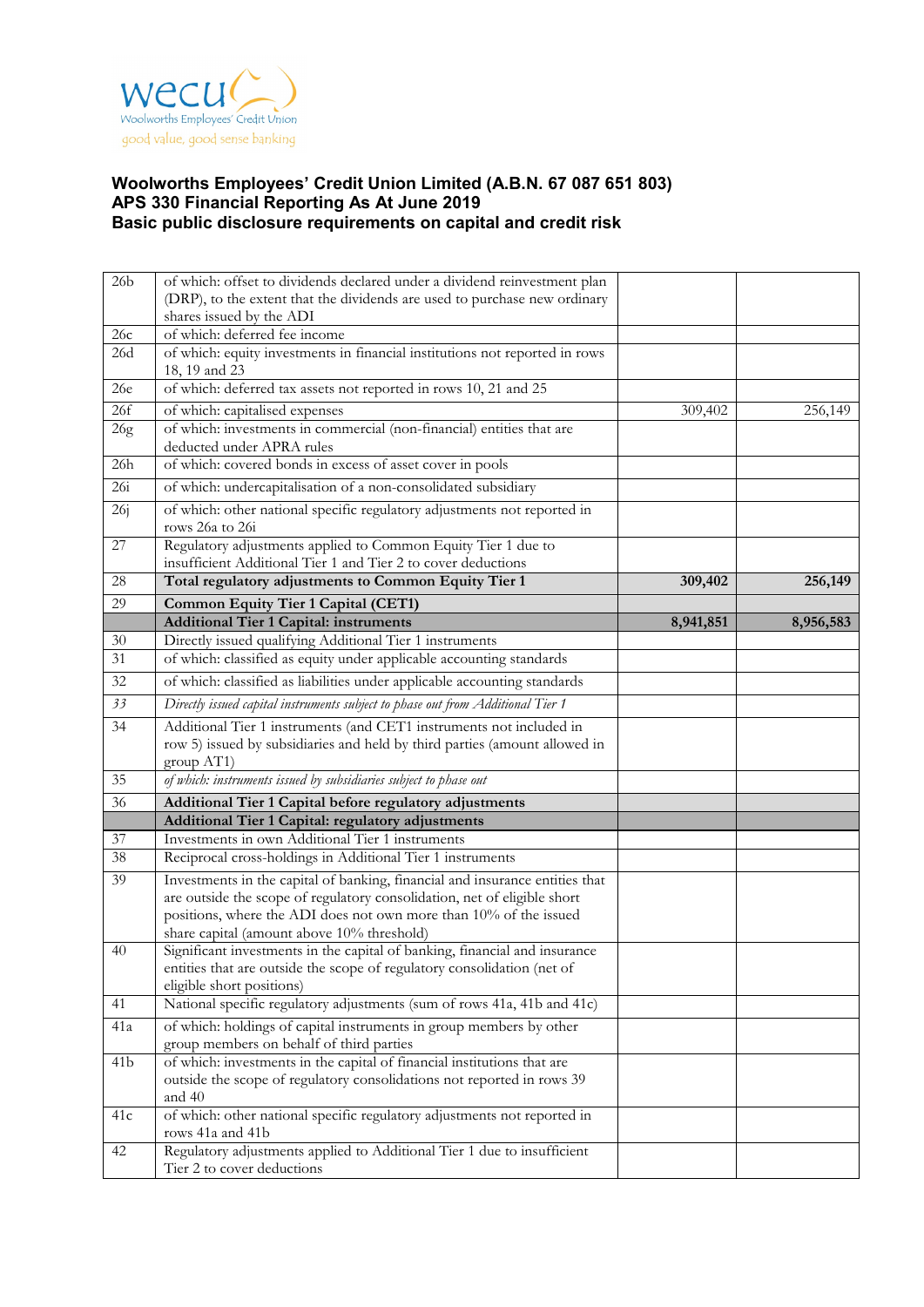

| 26 <sub>b</sub> | of which: offset to dividends declared under a dividend reinvestment plan                                                                                                                                                                                                   |           |           |
|-----------------|-----------------------------------------------------------------------------------------------------------------------------------------------------------------------------------------------------------------------------------------------------------------------------|-----------|-----------|
|                 | (DRP), to the extent that the dividends are used to purchase new ordinary                                                                                                                                                                                                   |           |           |
|                 | shares issued by the ADI                                                                                                                                                                                                                                                    |           |           |
| 26c             | of which: deferred fee income                                                                                                                                                                                                                                               |           |           |
| 26d             | of which: equity investments in financial institutions not reported in rows<br>18, 19 and 23                                                                                                                                                                                |           |           |
| 26e             | of which: deferred tax assets not reported in rows 10, 21 and 25                                                                                                                                                                                                            |           |           |
| 26f             | of which: capitalised expenses                                                                                                                                                                                                                                              | 309,402   | 256,149   |
| 26g             | of which: investments in commercial (non-financial) entities that are<br>deducted under APRA rules                                                                                                                                                                          |           |           |
| 26h             | of which: covered bonds in excess of asset cover in pools                                                                                                                                                                                                                   |           |           |
| 26i             | of which: undercapitalisation of a non-consolidated subsidiary                                                                                                                                                                                                              |           |           |
| 26j             | of which: other national specific regulatory adjustments not reported in                                                                                                                                                                                                    |           |           |
| 27              | rows 26a to 26i<br>Regulatory adjustments applied to Common Equity Tier 1 due to                                                                                                                                                                                            |           |           |
|                 | insufficient Additional Tier 1 and Tier 2 to cover deductions                                                                                                                                                                                                               |           |           |
| 28              | Total regulatory adjustments to Common Equity Tier 1                                                                                                                                                                                                                        | 309,402   | 256,149   |
| 29              | Common Equity Tier 1 Capital (CET1)                                                                                                                                                                                                                                         |           |           |
|                 | <b>Additional Tier 1 Capital: instruments</b>                                                                                                                                                                                                                               | 8,941,851 | 8,956,583 |
| 30              | Directly issued qualifying Additional Tier 1 instruments                                                                                                                                                                                                                    |           |           |
| 31              | of which: classified as equity under applicable accounting standards                                                                                                                                                                                                        |           |           |
| 32              | of which: classified as liabilities under applicable accounting standards                                                                                                                                                                                                   |           |           |
| 33              | Directly issued capital instruments subject to phase out from Additional Tier 1                                                                                                                                                                                             |           |           |
| 34              | Additional Tier 1 instruments (and CET1 instruments not included in                                                                                                                                                                                                         |           |           |
|                 | row 5) issued by subsidiaries and held by third parties (amount allowed in<br>group AT1)                                                                                                                                                                                    |           |           |
| 35              | of which: instruments issued by subsidiaries subject to phase out                                                                                                                                                                                                           |           |           |
| 36              | Additional Tier 1 Capital before regulatory adjustments                                                                                                                                                                                                                     |           |           |
|                 | Additional Tier 1 Capital: regulatory adjustments                                                                                                                                                                                                                           |           |           |
| 37              | Investments in own Additional Tier 1 instruments                                                                                                                                                                                                                            |           |           |
| 38              | Reciprocal cross-holdings in Additional Tier 1 instruments                                                                                                                                                                                                                  |           |           |
| 39              | Investments in the capital of banking, financial and insurance entities that<br>are outside the scope of regulatory consolidation, net of eligible short<br>positions, where the ADI does not own more than 10% of the issued<br>share capital (amount above 10% threshold) |           |           |
| 40              | Significant investments in the capital of banking, financial and insurance<br>entities that are outside the scope of regulatory consolidation (net of<br>eligible short positions)                                                                                          |           |           |
| 41              | National specific regulatory adjustments (sum of rows 41a, 41b and 41c)                                                                                                                                                                                                     |           |           |
| 41a             | of which: holdings of capital instruments in group members by other<br>group members on behalf of third parties                                                                                                                                                             |           |           |
| 41 <sub>b</sub> | of which: investments in the capital of financial institutions that are                                                                                                                                                                                                     |           |           |
|                 | outside the scope of regulatory consolidations not reported in rows 39<br>and 40                                                                                                                                                                                            |           |           |
| 41c             | of which: other national specific regulatory adjustments not reported in<br>rows 41a and 41b                                                                                                                                                                                |           |           |
| 42              | Regulatory adjustments applied to Additional Tier 1 due to insufficient<br>Tier 2 to cover deductions                                                                                                                                                                       |           |           |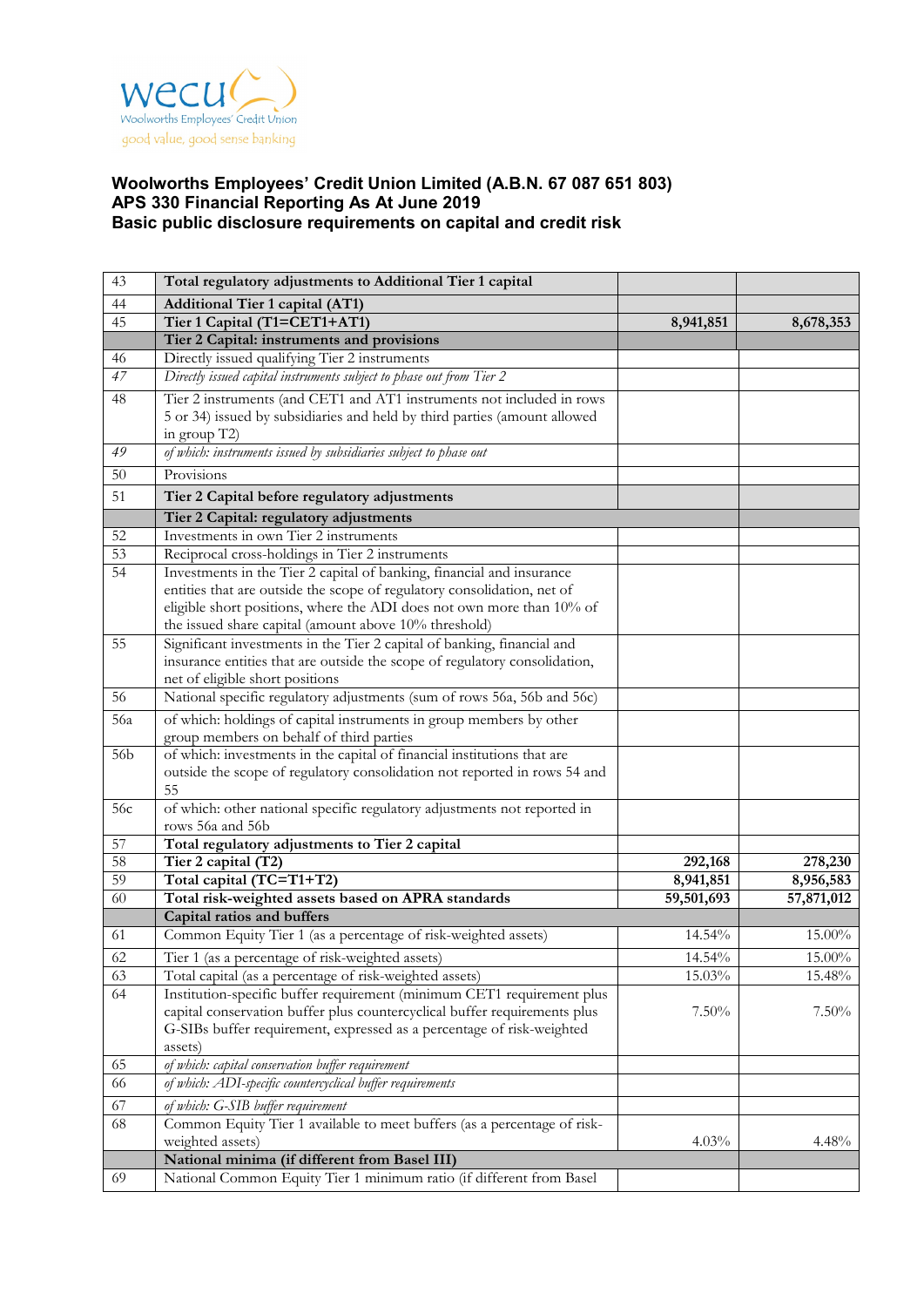

| 43                    | Total regulatory adjustments to Additional Tier 1 capital                                                                        |                         |                         |
|-----------------------|----------------------------------------------------------------------------------------------------------------------------------|-------------------------|-------------------------|
| 44                    | Additional Tier 1 capital (AT1)                                                                                                  |                         |                         |
| 45                    | Tier 1 Capital (T1=CET1+AT1)                                                                                                     | 8,941,851               | 8,678,353               |
|                       | Tier 2 Capital: instruments and provisions                                                                                       |                         |                         |
| 46                    | Directly issued qualifying Tier 2 instruments                                                                                    |                         |                         |
| 47                    | Directly issued capital instruments subject to phase out from Tier 2                                                             |                         |                         |
| 48                    | Tier 2 instruments (and CET1 and AT1 instruments not included in rows                                                            |                         |                         |
|                       | 5 or 34) issued by subsidiaries and held by third parties (amount allowed                                                        |                         |                         |
|                       | in group T2)                                                                                                                     |                         |                         |
| 49                    | of which: instruments issued by subsidiaries subject to phase out                                                                |                         |                         |
| 50                    | Provisions                                                                                                                       |                         |                         |
| 51                    | Tier 2 Capital before regulatory adjustments                                                                                     |                         |                         |
|                       | Tier 2 Capital: regulatory adjustments                                                                                           |                         |                         |
| 52                    | Investments in own Tier 2 instruments                                                                                            |                         |                         |
| $\overline{53}$       | Reciprocal cross-holdings in Tier 2 instruments                                                                                  |                         |                         |
| $\overline{54}$       | Investments in the Tier 2 capital of banking, financial and insurance                                                            |                         |                         |
|                       | entities that are outside the scope of regulatory consolidation, net of                                                          |                         |                         |
|                       | eligible short positions, where the ADI does not own more than 10% of                                                            |                         |                         |
| 55                    | the issued share capital (amount above 10% threshold)<br>Significant investments in the Tier 2 capital of banking, financial and |                         |                         |
|                       | insurance entities that are outside the scope of regulatory consolidation,                                                       |                         |                         |
|                       | net of eligible short positions                                                                                                  |                         |                         |
| 56                    | National specific regulatory adjustments (sum of rows 56a, 56b and 56c)                                                          |                         |                         |
| 56a                   | of which: holdings of capital instruments in group members by other                                                              |                         |                         |
|                       | group members on behalf of third parties                                                                                         |                         |                         |
| 56b                   | of which: investments in the capital of financial institutions that are                                                          |                         |                         |
|                       | outside the scope of regulatory consolidation not reported in rows 54 and                                                        |                         |                         |
|                       | 55                                                                                                                               |                         |                         |
| 56c                   | of which: other national specific regulatory adjustments not reported in                                                         |                         |                         |
|                       | rows 56a and 56b                                                                                                                 |                         |                         |
| 57                    | Total regulatory adjustments to Tier 2 capital                                                                                   |                         |                         |
| 58<br>$\overline{59}$ | Tier 2 capital (T2)<br>Total capital (TC=T1+T2)                                                                                  | 292,168                 | 278,230                 |
| 60                    | Total risk-weighted assets based on APRA standards                                                                               | 8,941,851<br>59,501,693 | 8,956,583<br>57,871,012 |
|                       | Capital ratios and buffers                                                                                                       |                         |                         |
| 61                    | Common Equity Tier 1 (as a percentage of risk-weighted assets)                                                                   | 14.54%                  | 15.00%                  |
| 62                    | Tier 1 (as a percentage of risk-weighted assets)                                                                                 | 14.54%                  | 15.00%                  |
| 63                    | Total capital (as a percentage of risk-weighted assets)                                                                          | 15.03%                  | 15.48%                  |
| 64                    | Institution-specific buffer requirement (minimum CET1 requirement plus                                                           |                         |                         |
|                       | capital conservation buffer plus countercyclical buffer requirements plus                                                        | $7.50\%$                | $7.50\%$                |
|                       | G-SIBs buffer requirement, expressed as a percentage of risk-weighted                                                            |                         |                         |
|                       | assets)                                                                                                                          |                         |                         |
| 65                    | of which: capital conservation buffer requirement                                                                                |                         |                         |
| 66                    | of which: ADI-specific countercyclical buffer requirements                                                                       |                         |                         |
| 67                    | of which: G-SIB buffer requirement                                                                                               |                         |                         |
| 68                    | Common Equity Tier 1 available to meet buffers (as a percentage of risk-                                                         |                         |                         |
|                       | weighted assets)                                                                                                                 | 4.03%                   | $4.48\%$                |
|                       | National minima (if different from Basel III)                                                                                    |                         |                         |
| 69                    | National Common Equity Tier 1 minimum ratio (if different from Basel                                                             |                         |                         |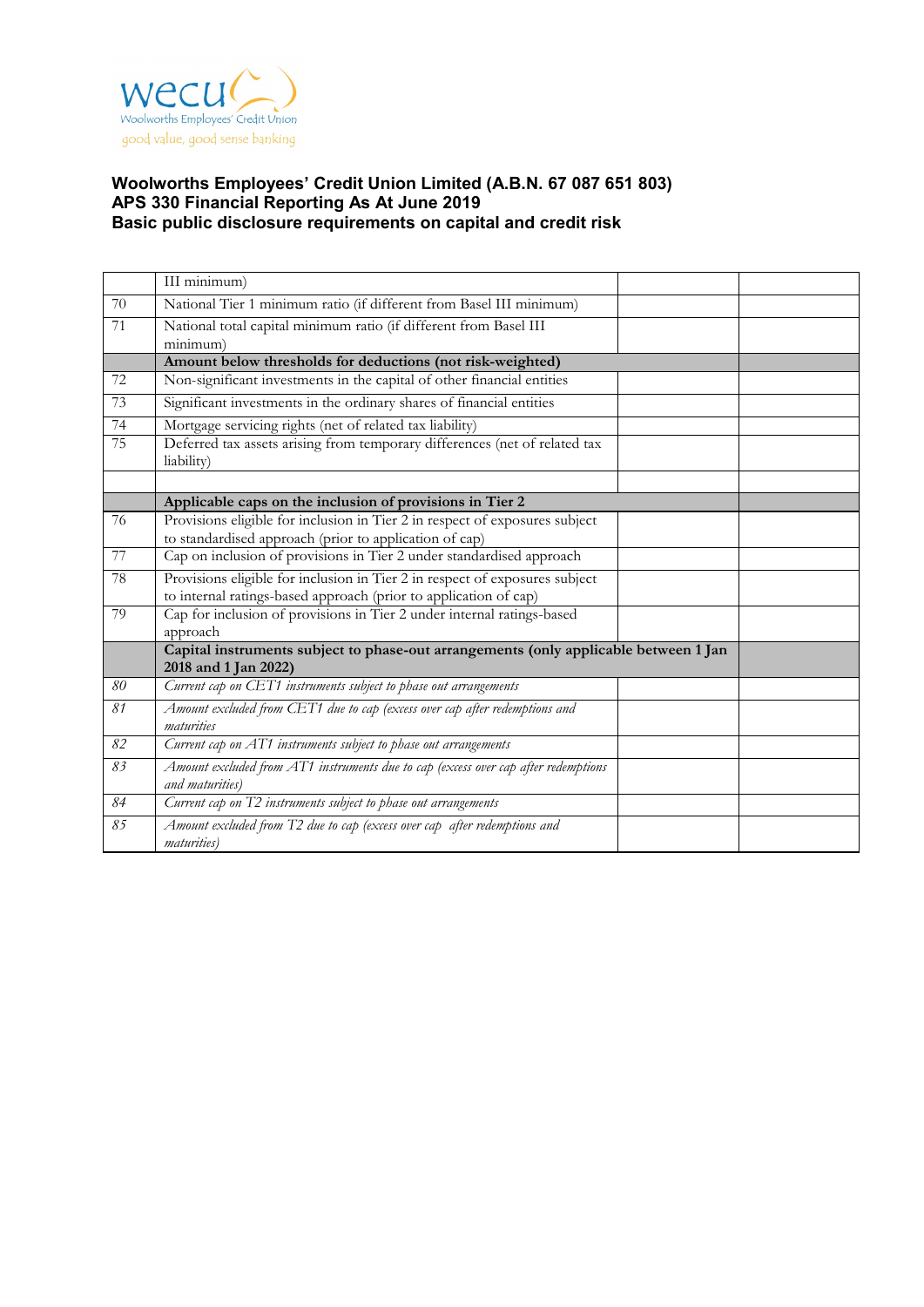

|    | III minimum)                                                                                          |  |
|----|-------------------------------------------------------------------------------------------------------|--|
| 70 | National Tier 1 minimum ratio (if different from Basel III minimum)                                   |  |
| 71 | National total capital minimum ratio (if different from Basel III                                     |  |
|    | minimum)                                                                                              |  |
|    | Amount below thresholds for deductions (not risk-weighted)                                            |  |
| 72 | Non-significant investments in the capital of other financial entities                                |  |
| 73 | Significant investments in the ordinary shares of financial entities                                  |  |
| 74 | Mortgage servicing rights (net of related tax liability)                                              |  |
| 75 | Deferred tax assets arising from temporary differences (net of related tax<br>liability)              |  |
|    |                                                                                                       |  |
|    | Applicable caps on the inclusion of provisions in Tier 2                                              |  |
| 76 | Provisions eligible for inclusion in Tier 2 in respect of exposures subject                           |  |
|    | to standardised approach (prior to application of cap)                                                |  |
| 77 | Cap on inclusion of provisions in Tier 2 under standardised approach                                  |  |
| 78 | Provisions eligible for inclusion in Tier 2 in respect of exposures subject                           |  |
|    | to internal ratings-based approach (prior to application of cap)                                      |  |
| 79 | Cap for inclusion of provisions in Tier 2 under internal ratings-based<br>approach                    |  |
|    | Capital instruments subject to phase-out arrangements (only applicable between 1 Jan                  |  |
|    | 2018 and 1 Jan 2022)                                                                                  |  |
| 80 | Current cap on CET1 instruments subject to phase out arrangements                                     |  |
| 81 | Amount excluded from CET1 due to cap (excess over cap after redemptions and<br>maturities             |  |
| 82 | Current cap on AT1 instruments subject to phase out arrangements                                      |  |
| 83 | Amount excluded from AT1 instruments due to cap (excess over cap after redemptions<br>and maturities) |  |
| 84 | Current cap on T2 instruments subject to phase out arrangements                                       |  |
| 85 | Amount excluded from T2 due to cap (excess over cap after redemptions and<br>maturities)              |  |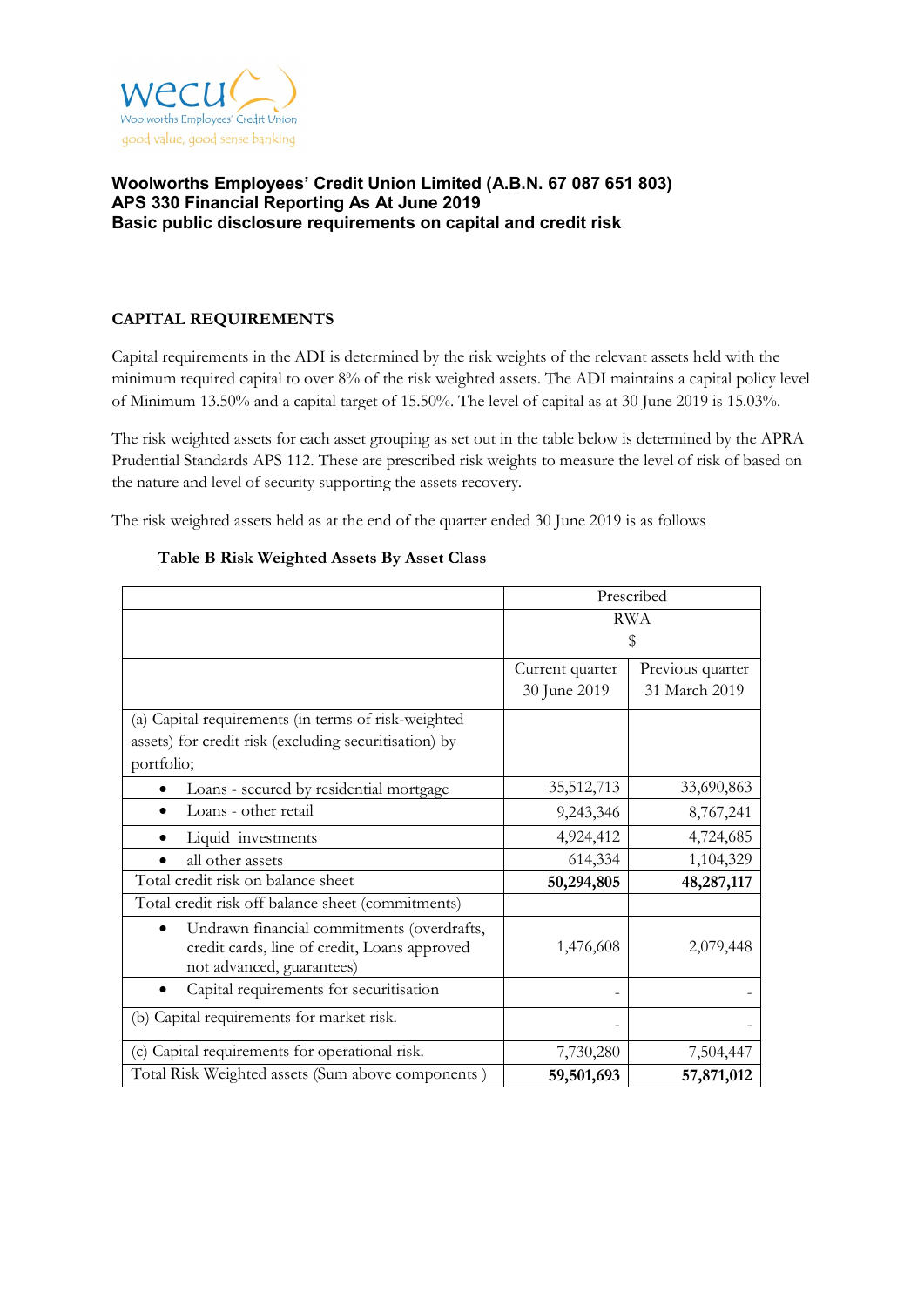

# **CAPITAL REQUIREMENTS**

Capital requirements in the ADI is determined by the risk weights of the relevant assets held with the minimum required capital to over 8% of the risk weighted assets. The ADI maintains a capital policy level of Minimum 13.50% and a capital target of 15.50%. The level of capital as at 30 June 2019 is 15.03%.

The risk weighted assets for each asset grouping as set out in the table below is determined by the APRA Prudential Standards APS 112. These are prescribed risk weights to measure the level of risk of based on the nature and level of security supporting the assets recovery.

The risk weighted assets held as at the end of the quarter ended 30 June 2019 is as follows

|                                                                                                                         | Prescribed                          |               |  |
|-------------------------------------------------------------------------------------------------------------------------|-------------------------------------|---------------|--|
|                                                                                                                         | <b>RWA</b>                          |               |  |
|                                                                                                                         |                                     | \$            |  |
|                                                                                                                         | Previous quarter<br>Current quarter |               |  |
|                                                                                                                         | 30 June 2019                        | 31 March 2019 |  |
| (a) Capital requirements (in terms of risk-weighted                                                                     |                                     |               |  |
| assets) for credit risk (excluding securitisation) by                                                                   |                                     |               |  |
| portfolio;                                                                                                              |                                     |               |  |
| Loans - secured by residential mortgage                                                                                 | 35,512,713                          | 33,690,863    |  |
| Loans - other retail                                                                                                    | 9,243,346                           | 8,767,241     |  |
| Liquid investments                                                                                                      | 4,924,412                           | 4,724,685     |  |
| all other assets                                                                                                        | 614,334                             | 1,104,329     |  |
| Total credit risk on balance sheet                                                                                      | 50,294,805                          | 48,287,117    |  |
| Total credit risk off balance sheet (commitments)                                                                       |                                     |               |  |
| Undrawn financial commitments (overdrafts,<br>credit cards, line of credit, Loans approved<br>not advanced, guarantees) | 1,476,608                           | 2,079,448     |  |
| Capital requirements for securitisation                                                                                 |                                     |               |  |
| (b) Capital requirements for market risk.                                                                               |                                     |               |  |
| (c) Capital requirements for operational risk.                                                                          | 7,730,280                           | 7,504,447     |  |
| Total Risk Weighted assets (Sum above components)                                                                       | 59,501,693                          | 57,871,012    |  |

### **Table B Risk Weighted Assets By Asset Class**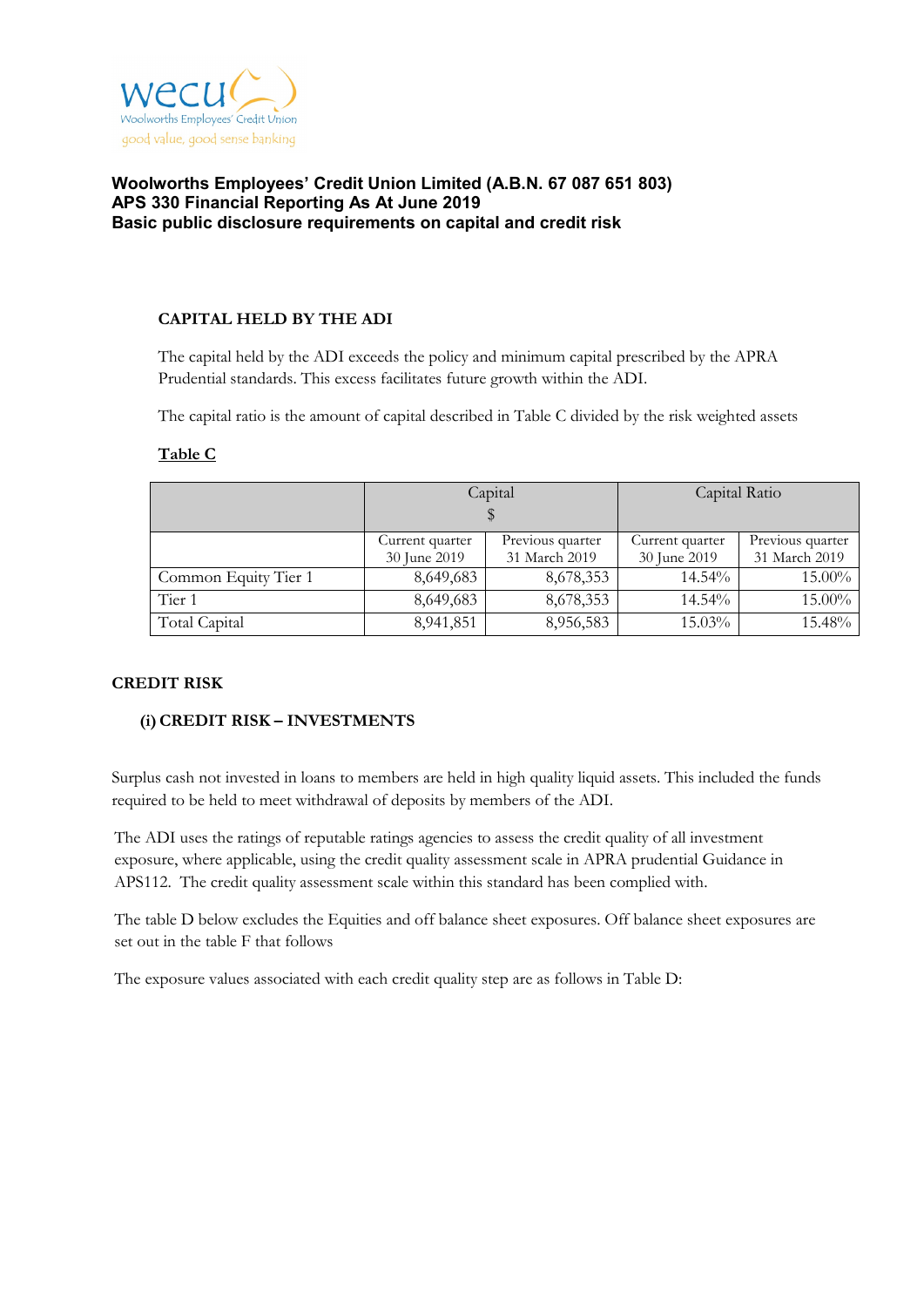

### **CAPITAL HELD BY THE ADI**

The capital held by the ADI exceeds the policy and minimum capital prescribed by the APRA Prudential standards. This excess facilitates future growth within the ADI.

The capital ratio is the amount of capital described in Table C divided by the risk weighted assets

|                      |                                 | Capital                           | Capital Ratio |                                   |  |
|----------------------|---------------------------------|-----------------------------------|---------------|-----------------------------------|--|
|                      | Current quarter<br>30 June 2019 | Previous quarter<br>31 March 2019 |               | Previous quarter<br>31 March 2019 |  |
| Common Equity Tier 1 | 8,649,683                       | 8,678,353                         | 14.54%        | 15.00%                            |  |
| Tier 1               | 8,649,683                       | 8,678,353                         | 14.54%        | 15.00%                            |  |
| Total Capital        | 8,941,851                       | 8,956,583                         | 15.03%        | 15.48%                            |  |

### **Table C**

#### **CREDIT RISK**

#### **(i)CREDIT RISK – INVESTMENTS**

Surplus cash not invested in loans to members are held in high quality liquid assets. This included the funds required to be held to meet withdrawal of deposits by members of the ADI.

The ADI uses the ratings of reputable ratings agencies to assess the credit quality of all investment exposure, where applicable, using the credit quality assessment scale in APRA prudential Guidance in APS112. The credit quality assessment scale within this standard has been complied with.

The table D below excludes the Equities and off balance sheet exposures. Off balance sheet exposures are set out in the table F that follows

The exposure values associated with each credit quality step are as follows in Table D: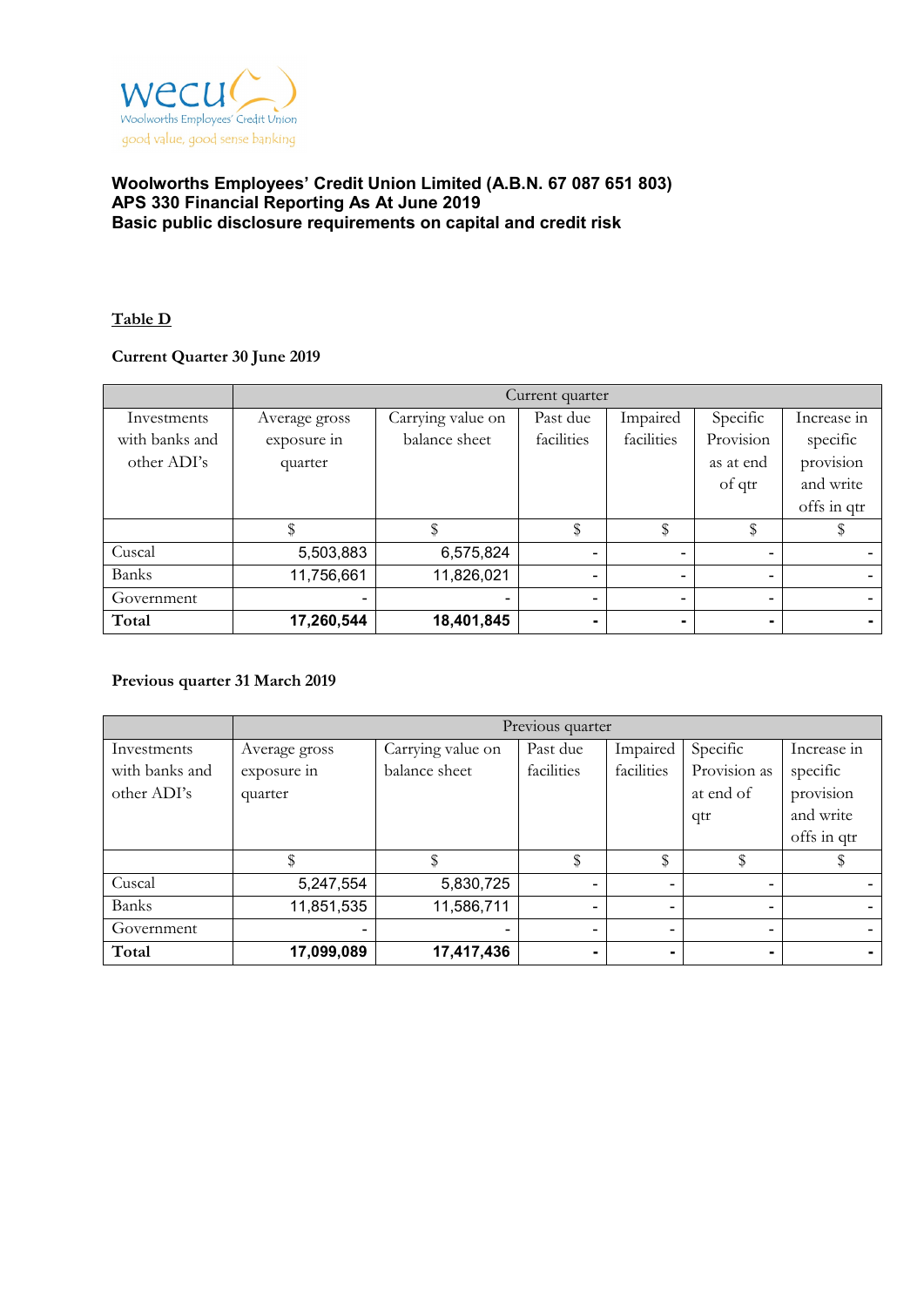

## **Table D**

# **Current Quarter 30 June 2019**

|                | Current quarter |                   |                |                |                |                          |
|----------------|-----------------|-------------------|----------------|----------------|----------------|--------------------------|
| Investments    | Average gross   | Carrying value on | Past due       | Impaired       | Specific       | Increase in              |
| with banks and | exposure in     | balance sheet     | facilities     | facilities     | Provision      | specific                 |
| other ADI's    | quarter         |                   |                |                | as at end      | provision                |
|                |                 |                   |                |                | of qtr         | and write                |
|                |                 |                   |                |                |                | offs in qtr              |
|                |                 |                   | \$             | \$             | \$             |                          |
| Cuscal         | 5,503,883       | 6,575,824         | $\blacksquare$ | -              | ۰              |                          |
| <b>Banks</b>   | 11,756,661      | 11,826,021        | $\blacksquare$ | $\blacksquare$ | $\sim$         | $\overline{\phantom{0}}$ |
| Government     |                 |                   |                | -              | ۰              |                          |
| Total          | 17,260,544      | 18,401,845        |                |                | $\blacksquare$ |                          |

#### **Previous quarter 31 March 2019**

|                | Previous quarter |                   |                          |            |              |             |
|----------------|------------------|-------------------|--------------------------|------------|--------------|-------------|
| Investments    | Average gross    | Carrying value on | Past due                 | Impaired   | Specific     | Increase in |
| with banks and | exposure in      | balance sheet     | facilities               | facilities | Provision as | specific    |
| other ADI's    | quarter          |                   |                          |            | at end of    | provision   |
|                |                  |                   |                          |            | qtr          | and write   |
|                |                  |                   |                          |            |              | offs in qtr |
|                |                  |                   | \$                       | \$         |              |             |
| Cuscal         | 5,247,554        | 5,830,725         |                          |            | ۰            |             |
| Banks          | 11,851,535       | 11,586,711        | $\overline{\phantom{0}}$ |            | ۰            |             |
| Government     |                  |                   |                          |            | ۰            |             |
| Total          | 17,099,089       | 17,417,436        |                          |            |              |             |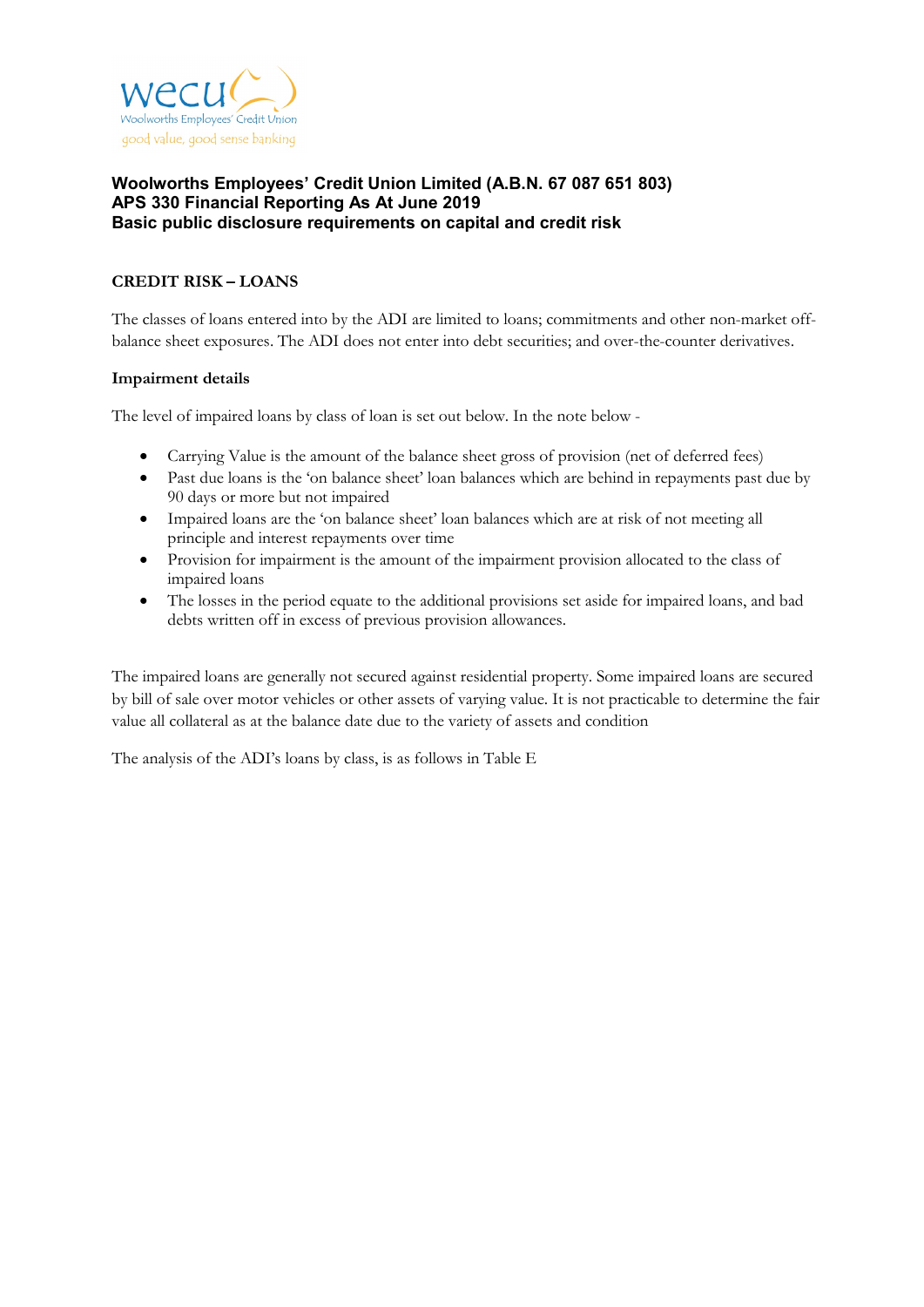

## **CREDIT RISK – LOANS**

The classes of loans entered into by the ADI are limited to loans; commitments and other non-market offbalance sheet exposures. The ADI does not enter into debt securities; and over-the-counter derivatives.

#### **Impairment details**

The level of impaired loans by class of loan is set out below. In the note below -

- Carrying Value is the amount of the balance sheet gross of provision (net of deferred fees)
- Past due loans is the 'on balance sheet' loan balances which are behind in repayments past due by 90 days or more but not impaired
- Impaired loans are the 'on balance sheet' loan balances which are at risk of not meeting all principle and interest repayments over time
- Provision for impairment is the amount of the impairment provision allocated to the class of impaired loans
- The losses in the period equate to the additional provisions set aside for impaired loans, and bad debts written off in excess of previous provision allowances.

The impaired loans are generally not secured against residential property. Some impaired loans are secured by bill of sale over motor vehicles or other assets of varying value. It is not practicable to determine the fair value all collateral as at the balance date due to the variety of assets and condition

The analysis of the ADI's loans by class, is as follows in Table E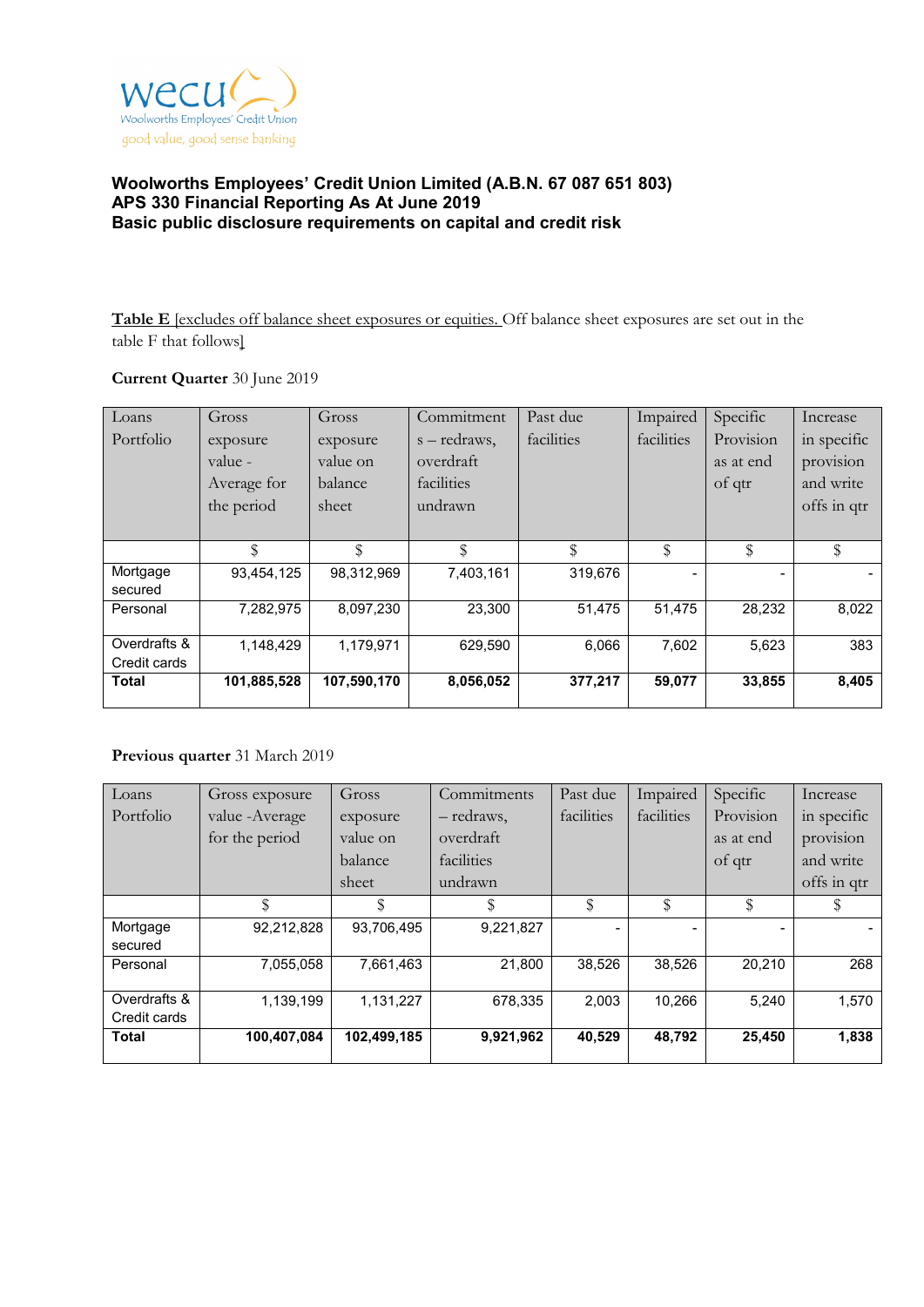

**Table E** [excludes off balance sheet exposures or equities. Off balance sheet exposures are set out in the table F that follows]

#### **Current Quarter** 30 June 2019

| Loans        | Gross       | Gross       | Commitment   | Past due   | Impaired   | Specific  | Increase    |
|--------------|-------------|-------------|--------------|------------|------------|-----------|-------------|
| Portfolio    | exposure    | exposure    | s – redraws, | facilities | facilities | Provision | in specific |
|              | value -     | value on    | overdraft    |            |            | as at end | provision   |
|              | Average for | balance     | facilities   |            |            | of qtr    | and write   |
|              | the period  | sheet       | undrawn      |            |            |           | offs in qtr |
|              |             |             |              |            |            |           |             |
|              | \$          | \$          | \$           | \$         | \$         | \$        | \$          |
| Mortgage     | 93,454,125  | 98,312,969  | 7,403,161    | 319,676    |            |           |             |
| secured      |             |             |              |            |            |           |             |
| Personal     | 7,282,975   | 8,097,230   | 23,300       | 51,475     | 51,475     | 28,232    | 8,022       |
|              |             |             |              |            |            |           |             |
| Overdrafts & | 1,148,429   | 1,179,971   | 629,590      | 6,066      | 7,602      | 5,623     | 383         |
| Credit cards |             |             |              |            |            |           |             |
| <b>Total</b> | 101,885,528 | 107,590,170 | 8,056,052    | 377,217    | 59,077     | 33,855    | 8,405       |

# **Previous quarter** 31 March 2019

| Loans        | Gross exposure  | Gross       | Commitments | Past due   | Impaired   | Specific  | Increase    |
|--------------|-----------------|-------------|-------------|------------|------------|-----------|-------------|
| Portfolio    | value - Average | exposure    | - redraws,  | facilities | facilities | Provision | in specific |
|              | for the period  | value on    | overdraft   |            |            | as at end | provision   |
|              |                 | balance     | facilities  |            |            | of qtr    | and write   |
|              |                 | sheet       | undrawn     |            |            |           | offs in qtr |
|              |                 | \$          |             | \$         | \$         | \$        |             |
| Mortgage     | 92,212,828      | 93,706,495  | 9,221,827   |            |            |           |             |
| secured      |                 |             |             |            |            |           |             |
| Personal     | 7,055,058       | 7,661,463   | 21,800      | 38,526     | 38,526     | 20.210    | 268         |
|              |                 |             |             |            |            |           |             |
| Overdrafts & | 1,139,199       | 1,131,227   | 678.335     | 2.003      | 10.266     | 5.240     | 1,570       |
| Credit cards |                 |             |             |            |            |           |             |
| <b>Total</b> | 100,407,084     | 102,499,185 | 9,921,962   | 40,529     | 48,792     | 25,450    | 1,838       |
|              |                 |             |             |            |            |           |             |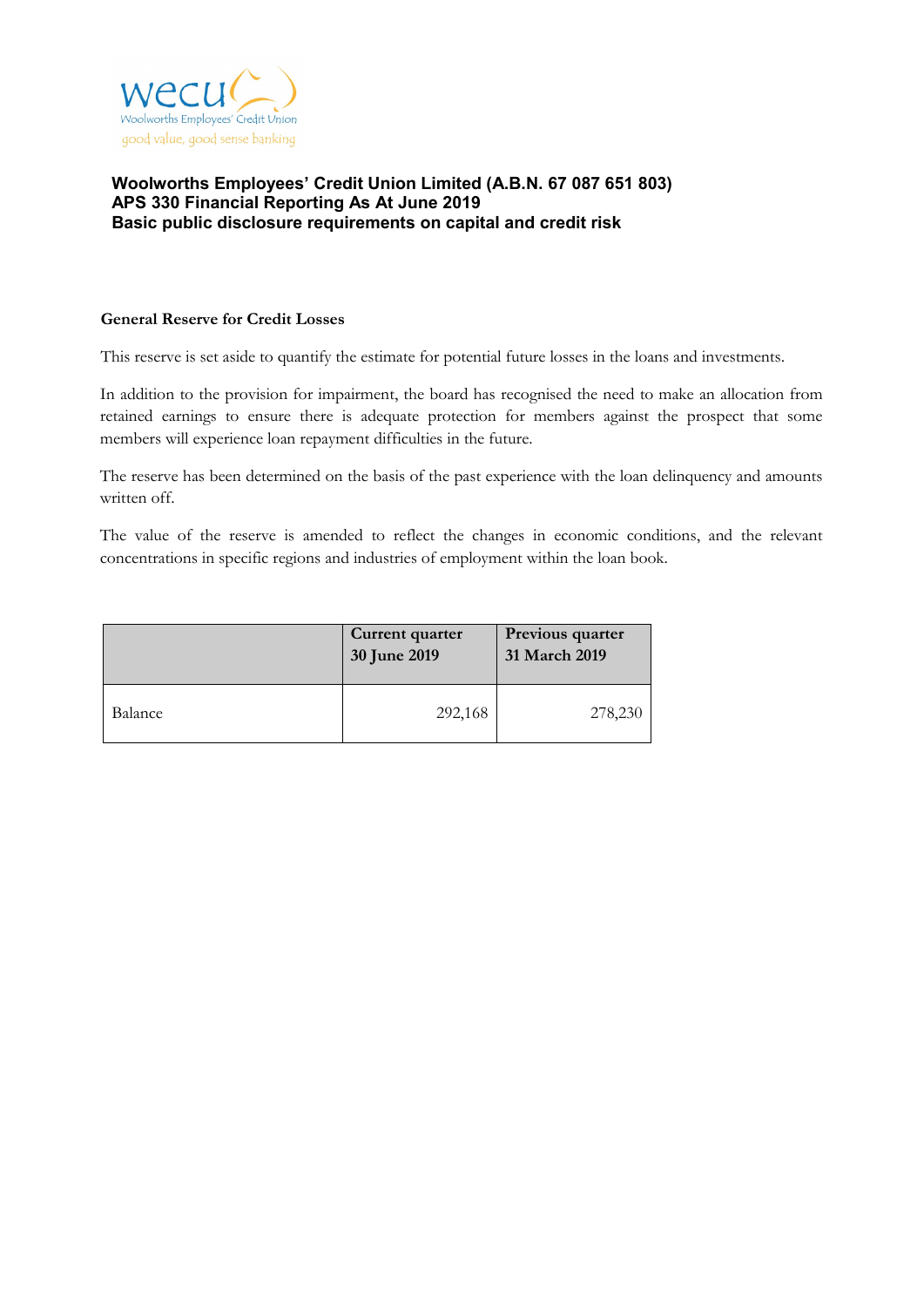

#### **General Reserve for Credit Losses**

This reserve is set aside to quantify the estimate for potential future losses in the loans and investments.

In addition to the provision for impairment, the board has recognised the need to make an allocation from retained earnings to ensure there is adequate protection for members against the prospect that some members will experience loan repayment difficulties in the future.

The reserve has been determined on the basis of the past experience with the loan delinquency and amounts written off.

The value of the reserve is amended to reflect the changes in economic conditions, and the relevant concentrations in specific regions and industries of employment within the loan book.

|         | Current quarter<br>30 June 2019 | Previous quarter<br>31 March 2019 |
|---------|---------------------------------|-----------------------------------|
| Balance | 292,168                         | 278,230                           |